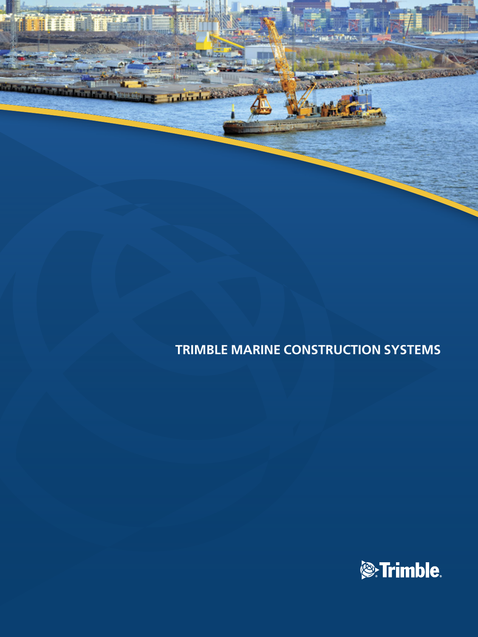

**THE** 

بام تتخابل

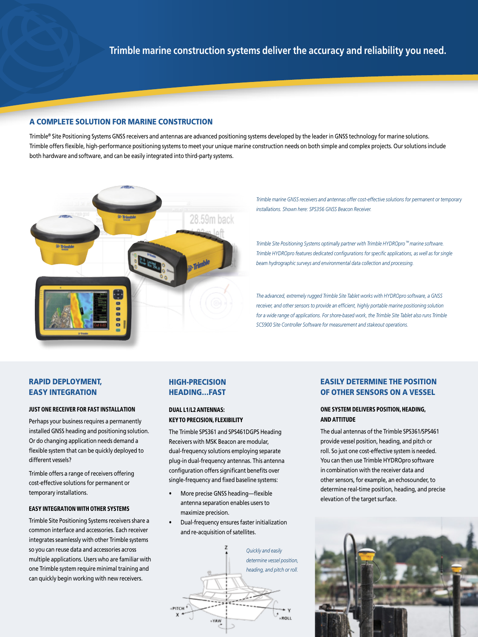# A COMPLETE SOLUTION FOR MARINE CONSTRUCTION

Trimble<sup>®</sup> Site Positioning Systems GNSS receivers and antennas are advanced positioning systems developed by the leader in GNSS technology for marine solutions. Trimble offers flexible, high-performance positioning systems to meet your unique marine construction needs on both simple and complex projects. Our solutions include both hardware and software, and can be easily integrated into third-party systems.



*Trimble marine GNSS receivers and antennas offer cost-effective solutions for permanent or temporary installations. Shown here: SPS356 GNSS Beacon Receiver.*

*Trimble Site Positioning Systems optimally partner with Trimble HYDROpro™ marine software. Trimble HYDROpro features dedicated configurations for specific applications, as well as for single beam hydrographic surveys and environmental data collection and processing.*

*The advanced, extremely rugged Trimble Site Tablet works with HYDROpro software, a GNSS receiver, and other sensors to provide an efficient, highly portable marine positioning solution for a wide range of applications. For shore-based work, the Trimble Site Tablet also runs Trimble SCS900 Site Controller Software for measurement and stakeout operations.*

# RAPID DEPLOYMENT, EASY INTEGRATION

#### JUST ONE RECEIVER FOR FAST INSTALLATION

Perhaps your business requires a permanently installed GNSS heading and positioning solution. Or do changing application needs demand a flexible system that can be quickly deployed to different vessels?

Trimble offers a range of receivers offering cost-effective solutions for permanent or temporary installations.

#### EASY INTEGRATION WITH OTHER SYSTEMS

Trimble Site Positioning Systems receivers share a common interface and accessories. Each receiver integrates seamlessly with other Trimble systems so you can reuse data and accessories across multiple applications. Users who are familiar with one Trimble system require minimal training and can quickly begin working with new receivers.

# HIGH-PRECISION HEADING…FAST

#### DUAL L1/L2 ANTENNAS: KEY TO PRECISION, FLEXIBILITY

The Trimble SPS361 and SPS461DGPS Heading Receivers with MSK Beacon are modular, dual-frequency solutions employing separate plug-in dual-frequency antennas. This antenna configuration offers significant benefits over single-frequency and fixed baseline systems:

- More precise GNSS heading—flexible antenna separation enables users to maximize precision.
- Dual-frequency ensures faster initialization and re-acquisition of satellites.



# EASILY DETERMINE THE POSITION OF OTHER SENSORS ON A VESSEL

#### ONE SYSTEM DELIVERS POSITION, HEADING, AND ATTITUDE

The dual antennas of the Trimble SPS361/SPS461 provide vessel position, heading, and pitch or roll. So just one cost-effective system is needed. You can then use Trimble HYDROpro software in combination with the receiver data and other sensors, for example, an echosounder, to determine real-time position, heading, and precise elevation of the target surface.

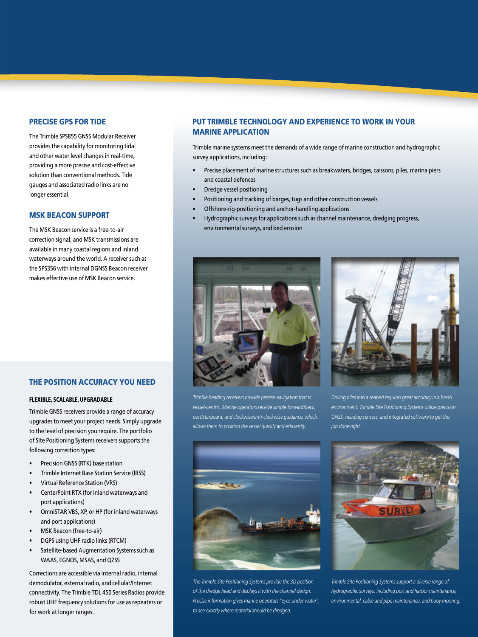# PRECISE GPS FOR TIDE

The Trimble SPS855 GNSS Modular Receiver provides the capability for monitoring tidal and other water level changes in real-time, providing a more precise and cost-effective solution than conventional methods. Tide gauges and associated radio links are no longer essential.

#### MSK BEACON SUPPORT

The MSK Beacon service is a free-to-air correction signal, and MSK transmissions are available in many coastal regions and inland waterways around the world. A receiver such as the SPS356 with internal DGNSS Beacon receiver makes effective use of MSK Beacon service.

# PUT TRIMBLE TECHNOLOGY AND EXPERIENCE TO WORK IN YOUR MARINE APPLICATION

Trimble marine systems meet the demands of a wide range of marine construction and hydrographic survey applications, including:

- Precise placement of marine structures such as breakwaters, bridges, caissons, piles, marina piers and coastal defences
- Dredge vessel positioning
- Positioning and tracking of barges, tugs and other construction vessels
- Offshore-rig-positioning and anchor-handling applications
- Hydrographic surveys for applications such as channel maintenance, dredging progress, environmental surveys, and bed erosion



*Trimble heading receivers provide precise navigation that is vessel-centric. Marine operators receive simple forward/back, port/starboard, and clockwise/anti-clockwise guidance, which allows them to position the vessel quickly and efficiently.*



*Driving piles into a seabed requires great accuracy in a harsh environment. Trimble Site Positioning Systems utilize precision GNSS, heading sensors, and integrated software to get the job done right.*



*The Trimble Site Positioning Systems provide the 3D position of the dredge head and displays it with the channel design. Precise information gives marine operators "eyes under water", to see exactly where material should be dredged.*



*Trimble Site Positioning Systems support a diverse range of hydrographic surveys, including port and harbor maintenance, environmental, cable and pipe maintenance, and buoy mooring.*

# THE POSITION ACCURACY YOU NEED

#### FLEXIBLE, SCALABLE, UPGRADABLE

Trimble GNSS receivers provide a range of accuracy upgrades to meet your project needs. Simply upgrade to the level of precision you require. The portfolio of Site Positioning Systems receivers supports the following correction types:

- Precision GNSS (RTK) base station
- Trimble Internet Base Station Service (IBSS)
- Virtual Reference Station (VRS)
- CenterPoint RTX (for inland waterways and port applications)
- OmniSTAR VBS, XP, or HP (for inland waterways and port applications)
- MSK Beacon (free-to-air)
- DGPS using UHF radio links (RTCM)
- Satellite-based Augmentation Systems such as WAAS, EGNOS, MSAS, and QZSS

Corrections are accessible via internal radio, internal demodulator, external radio, and cellular/Internet connectivity. The Trimble TDL 450 Series Radios provide robust UHF frequency solutions for use as repeaters or for work at longer ranges.